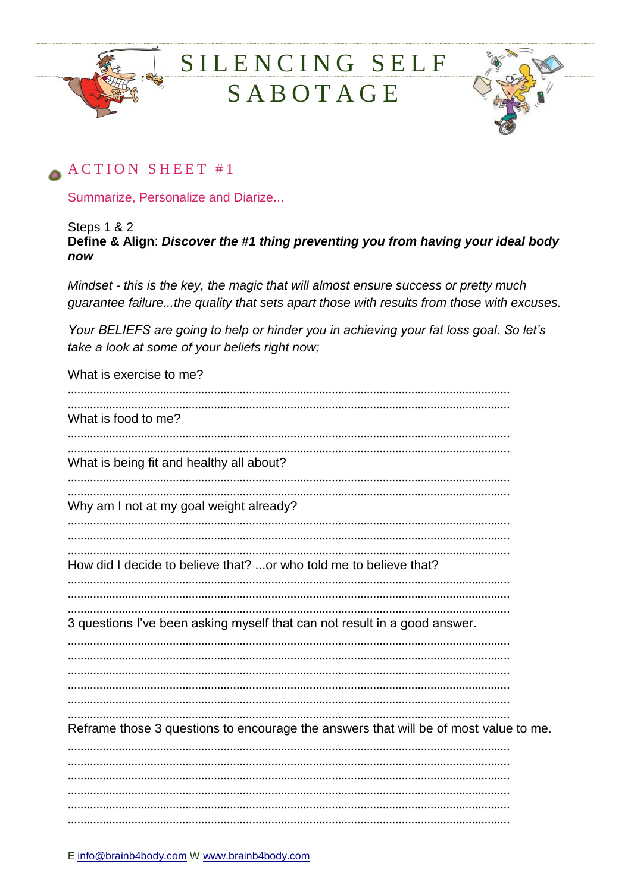



#### ACTION SHEET #1

Summarize, Personalize and Diarize...

Steps 1 & 2

Define & Align: Discover the #1 thing preventing you from having your ideal body now

Mindset - this is the key, the magic that will almost ensure success or pretty much guarantee failure...the quality that sets apart those with results from those with excuses.

Your BELIEFS are going to help or hinder you in achieving your fat loss goal. So let's take a look at some of your beliefs right now;

What is exercise to me? What is food to me? What is being fit and healthy all about? Why am I not at my goal weight already? How did I decide to believe that? ...or who told me to believe that? 3 questions I've been asking myself that can not result in a good answer. Reframe those 3 questions to encourage the answers that will be of most value to me.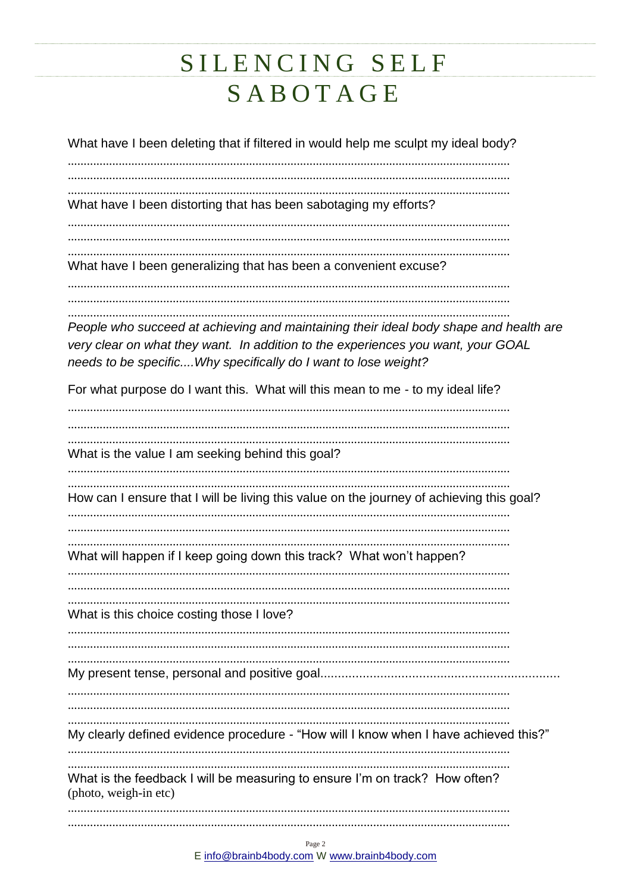What have I been deleting that if filtered in would help me sculpt my ideal body?

What have I been distorting that has been sabotaging my efforts?

What have I been generalizing that has been a convenient excuse?

People who succeed at achieving and maintaining their ideal body shape and health are very clear on what they want. In addition to the experiences you want, your GOAL needs to be specific.... Why specifically do I want to lose weight?

For what purpose do I want this. What will this mean to me - to my ideal life?

What is the value I am seeking behind this goal? How can I ensure that I will be living this value on the journey of achieving this goal? What will happen if I keep going down this track? What won't happen? What is this choice costing those I love? My clearly defined evidence procedure - "How will I know when I have achieved this?" What is the feedback I will be measuring to ensure I'm on track? How often? (photo, weigh-in etc)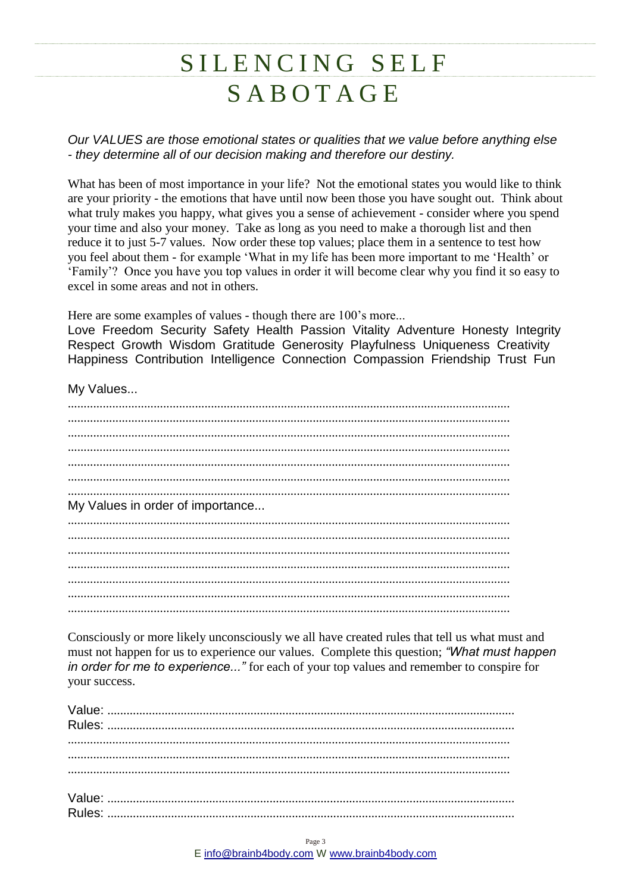*Our VALUES are those emotional states or qualities that we value before anything else - they determine all of our decision making and therefore our destiny.*

What has been of most importance in your life? Not the emotional states you would like to think are your priority - the emotions that have until now been those you have sought out. Think about what truly makes you happy, what gives you a sense of achievement - consider where you spend your time and also your money. Take as long as you need to make a thorough list and then reduce it to just 5-7 values. Now order these top values; place them in a sentence to test how you feel about them - for example 'What in my life has been more important to me 'Health' or 'Family'? Once you have you top values in order it will become clear why you find it so easy to excel in some areas and not in others.

Here are some examples of values - though there are 100's more...

Love Freedom Security Safety Health Passion Vitality Adventure Honesty Integrity Respect Growth Wisdom Gratitude Generosity Playfulness Uniqueness Creativity Happiness Contribution Intelligence Connection Compassion Friendship Trust Fun

My Values...

........................................................................................................................................... ........................................................................................................................................... ........................................................................................................................................... ........................................................................................................................................... ........................................................................................................................................... ........................................................................................................................................... ........................................................................................................................................... My Values in order of importance... ........................................................................................................................................... ........................................................................................................................................... ........................................................................................................................................... ........................................................................................................................................... ........................................................................................................................................... ........................................................................................................................................... ...........................................................................................................................................

Consciously or more likely unconsciously we all have created rules that tell us what must and must not happen for us to experience our values. Complete this question; *"What must happen in order for me to experience..."* for each of your top values and remember to conspire for your success.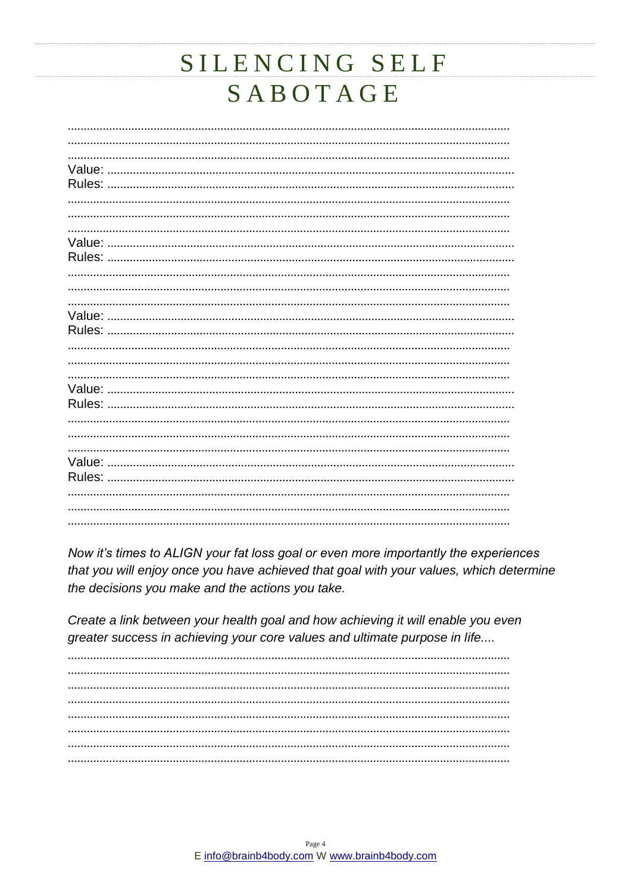Now it's times to ALIGN your fat loss goal or even more importantly the experiences that you will enjoy once you have achieved that goal with your values, which determine the decisions you make and the actions you take.

Create a link between your health goal and how achieving it will enable you even greater success in achieving your core values and ultimate purpose in life....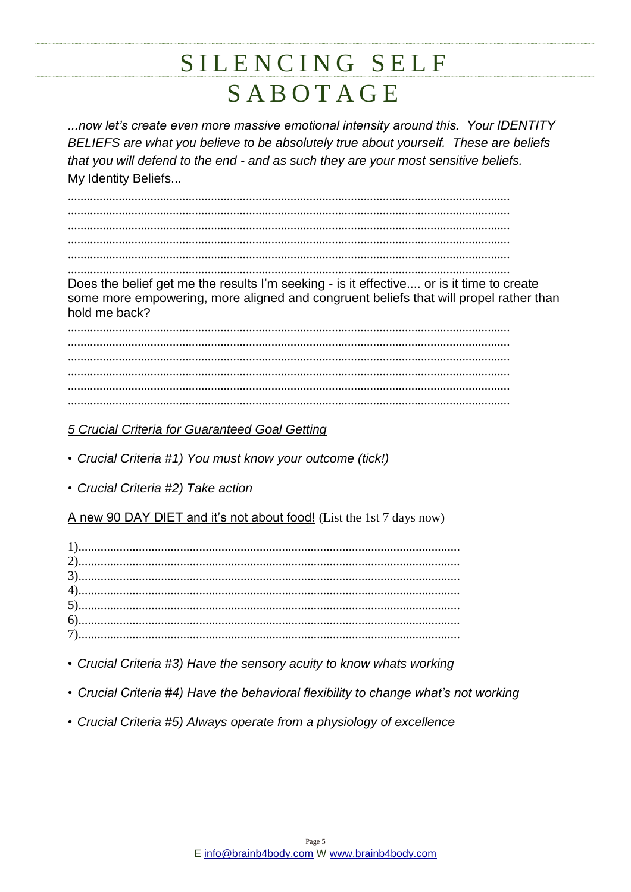...now let's create even more massive emotional intensity around this. Your IDENTITY BELIEFS are what you believe to be absolutely true about yourself. These are beliefs that you will defend to the end - and as such they are your most sensitive beliefs. My Identity Beliefs...

Does the belief get me the results I'm seeking - is it effective.... or is it time to create some more empowering, more aligned and congruent beliefs that will propel rather than hold me back?

5 Crucial Criteria for Guaranteed Goal Getting

- Crucial Criteria #1) You must know your outcome (tick!)
- Crucial Criteria #2) Take action

A new 90 DAY DIET and it's not about food! (List the 1st 7 days now)

- Crucial Criteria #3) Have the sensory acuity to know whats working
- Crucial Criteria #4) Have the behavioral flexibility to change what's not working
- Crucial Criteria #5) Always operate from a physiology of excellence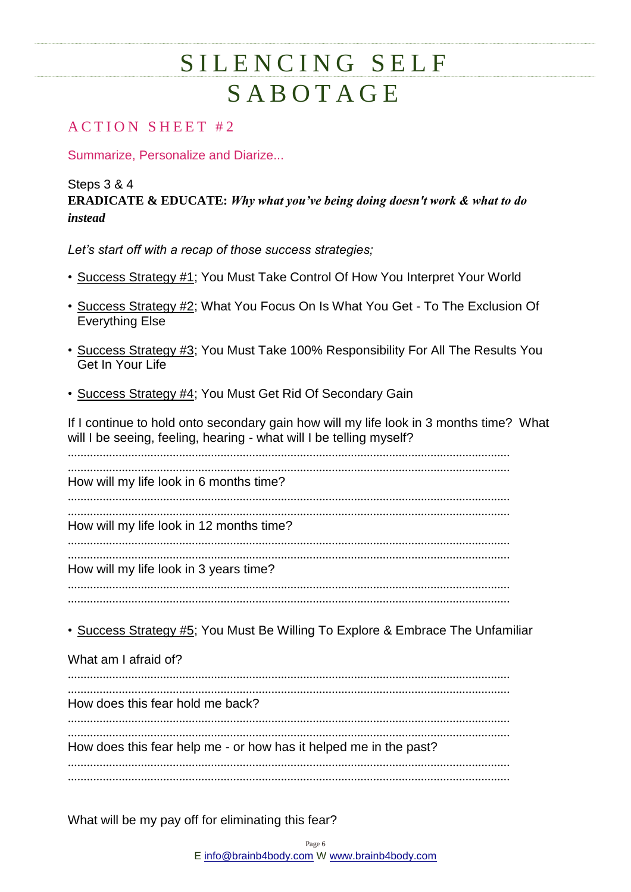#### **ACTION SHEET #2**

Summarize, Personalize and Diarize...

Steps 3 & 4 **ERADICATE & EDUCATE:** *Why what you've being doing doesn't work & what to do instead*

*Let's start off with a recap of those success strategies;*

- Success Strategy #1; You Must Take Control Of How You Interpret Your World
- Success Strategy #2; What You Focus On Is What You Get To The Exclusion Of Everything Else
- Success Strategy #3; You Must Take 100% Responsibility For All The Results You Get In Your Life
- Success Strategy #4; You Must Get Rid Of Secondary Gain

If I continue to hold onto secondary gain how will my life look in 3 months time? What will I be seeing, feeling, hearing - what will I be telling myself?

........................................................................................................................................... ........................................................................................................................................... How will my life look in 6 months time? ........................................................................................................................................... ........................................................................................................................................... How will my life look in 12 months time? ........................................................................................................................................... ........................................................................................................................................... How will my life look in 3 years time? ........................................................................................................................................... ...........................................................................................................................................

• Success Strategy #5; You Must Be Willing To Explore & Embrace The Unfamiliar

What am I afraid of? ........................................................................................................................................... ........................................................................................................................................... How does this fear hold me back? ........................................................................................................................................... ........................................................................................................................................... How does this fear help me - or how has it helped me in the past? ...........................................................................................................................................

What will be my pay off for eliminating this fear?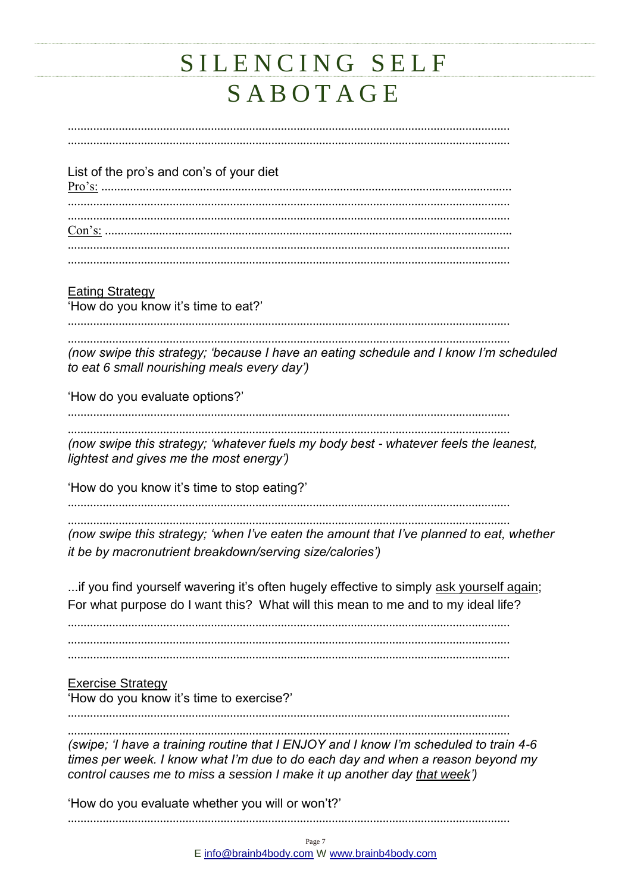| List of the pro's and con's of your diet                                                                                                                                                                                                            |
|-----------------------------------------------------------------------------------------------------------------------------------------------------------------------------------------------------------------------------------------------------|
|                                                                                                                                                                                                                                                     |
|                                                                                                                                                                                                                                                     |
|                                                                                                                                                                                                                                                     |
| <b>Eating Strategy</b><br>'How do you know it's time to eat?'                                                                                                                                                                                       |
| (now swipe this strategy; 'because I have an eating schedule and I know I'm scheduled<br>to eat 6 small nourishing meals every day')                                                                                                                |
| 'How do you evaluate options?'                                                                                                                                                                                                                      |
| (now swipe this strategy; 'whatever fuels my body best - whatever feels the leanest,<br>lightest and gives me the most energy')                                                                                                                     |
| 'How do you know it's time to stop eating?'                                                                                                                                                                                                         |
| (now swipe this strategy; 'when I've eaten the amount that I've planned to eat, whether<br>it be by macronutrient breakdown/serving size/calories')                                                                                                 |
| if you find yourself wavering it's often hugely effective to simply ask yourself again;<br>For what purpose do I want this? What will this mean to me and to my ideal life?                                                                         |
|                                                                                                                                                                                                                                                     |
| <b>Exercise Strategy</b><br>'How do you know it's time to exercise?'                                                                                                                                                                                |
| (swipe; 'I have a training routine that I ENJOY and I know I'm scheduled to train 4-6<br>times per week. I know what I'm due to do each day and when a reason beyond my<br>control causes me to miss a session I make it up another day that week') |
| 'How do you evaluate whether you will or won't?'                                                                                                                                                                                                    |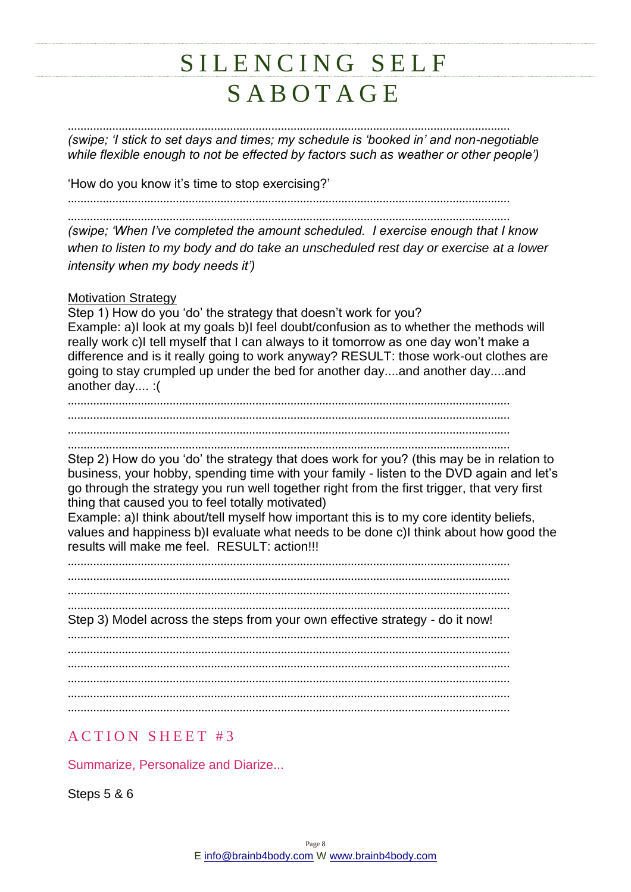### SILENCING SELF S A B O T A G E

........................................................................................................................................... *(swipe; 'I stick to set days and times; my schedule is 'booked in' and non-negotiable while flexible enough to not be effected by factors such as weather or other people')* 'How do you know it's time to stop exercising?' ........................................................................................................................................... ........................................................................................................................................... *(swipe; 'When I've completed the amount scheduled. I exercise enough that I know when to listen to my body and do take an unscheduled rest day or exercise at a lower intensity when my body needs it')* Motivation Strategy Step 1) How do you 'do' the strategy that doesn't work for you? Example: a)I look at my goals b)I feel doubt/confusion as to whether the methods will really work c)I tell myself that I can always to it tomorrow as one day won't make a difference and is it really going to work anyway? RESULT: those work-out clothes are going to stay crumpled up under the bed for another day....and another day....and another day.... :( ........................................................................................................................................... ........................................................................................................................................... ........................................................................................................................................... ........................................................................................................................................... Step 2) How do you 'do' the strategy that does work for you? (this may be in relation to business, your hobby, spending time with your family - listen to the DVD again and let's go through the strategy you run well together right from the first trigger, that very first thing that caused you to feel totally motivated) Example: a)I think about/tell myself how important this is to my core identity beliefs, values and happiness b)I evaluate what needs to be done c)I think about how good the results will make me feel. RESULT: action!!! ........................................................................................................................................... ........................................................................................................................................... ........................................................................................................................................... ........................................................................................................................................... Step 3) Model across the steps from your own effective strategy - do it now! ........................................................................................................................................... ........................................................................................................................................... ........................................................................................................................................... ...........................................................................................................................................

#### **ACTION SHEET #3**

Summarize, Personalize and Diarize...

Steps 5 & 6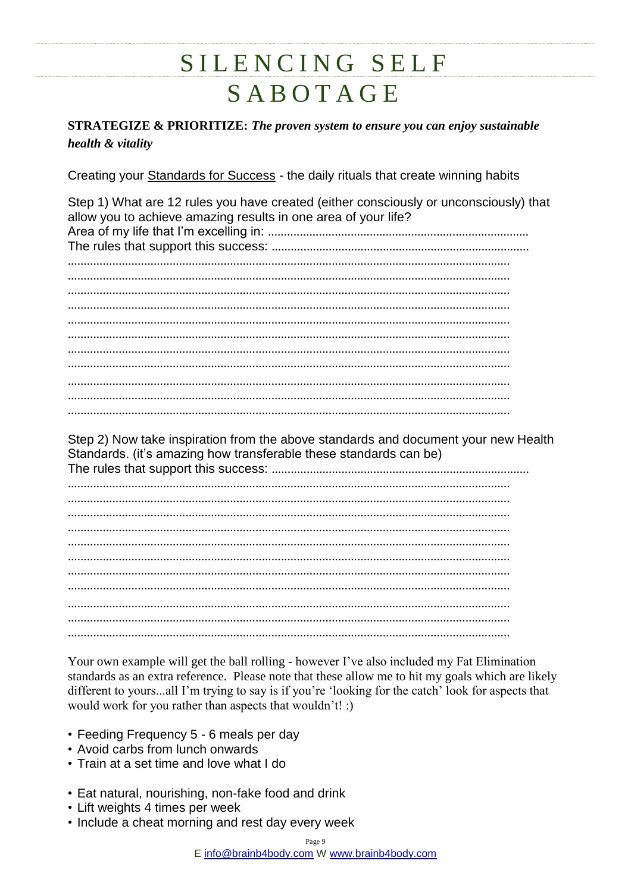**STRATEGIZE & PRIORITIZE: The proven system to ensure you can enjoy sustainable** health & vitality

Creating your Standards for Success - the daily rituals that create winning habits

Step 1) What are 12 rules you have created (either consciously or unconsciously) that allow you to achieve amazing results in one area of your life? 

Step 2) Now take inspiration from the above standards and document your new Health Standards. (it's amazing how transferable these standards can be)

Your own example will get the ball rolling - however I've also included my Fat Elimination standards as an extra reference. Please note that these allow me to hit my goals which are likely different to yours...all I'm trying to say is if you're 'looking for the catch' look for aspects that would work for you rather than aspects that wouldn't! :)

- Feeding Frequency 5 6 meals per day
- Avoid carbs from lunch onwards
- Train at a set time and love what I do
- Eat natural, nourishing, non-fake food and drink
- Lift weights 4 times per week
- Include a cheat morning and rest day every week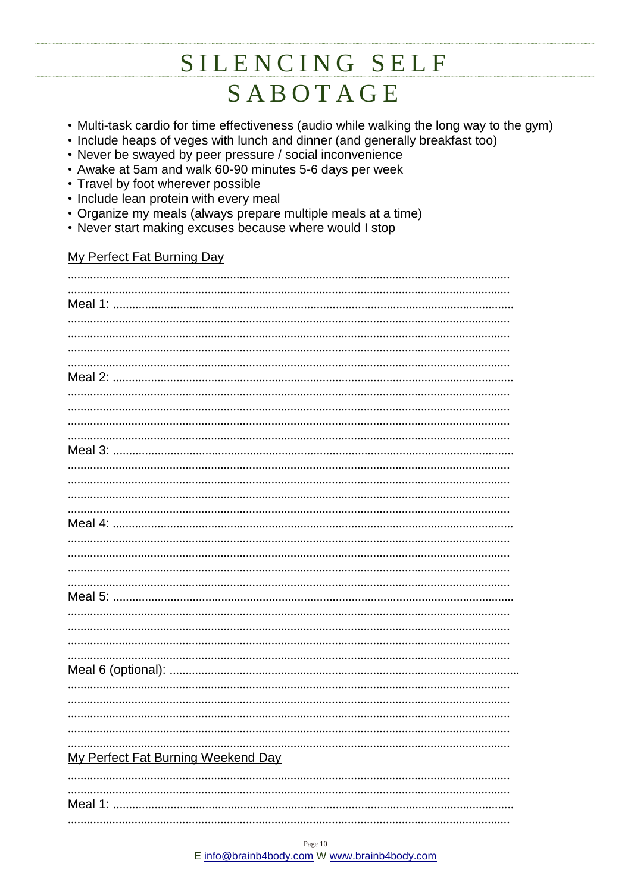- Multi-task cardio for time effectiveness (audio while walking the long way to the gym)
- Include heaps of veges with lunch and dinner (and generally breakfast too)
- Never be swayed by peer pressure / social inconvenience
- Awake at 5am and walk 60-90 minutes 5-6 days per week
- Travel by foot wherever possible
- Include lean protein with every meal
- Organize my meals (always prepare multiple meals at a time)
- Never start making excuses because where would I stop

#### My Perfect Fat Burning Day

| My Perfect Fat Burning Weekend Day |  |
|------------------------------------|--|
|                                    |  |
|                                    |  |
|                                    |  |
|                                    |  |
|                                    |  |
|                                    |  |
|                                    |  |
|                                    |  |
|                                    |  |
|                                    |  |
|                                    |  |
|                                    |  |
|                                    |  |
|                                    |  |
|                                    |  |
|                                    |  |
|                                    |  |
|                                    |  |
|                                    |  |
|                                    |  |
|                                    |  |
|                                    |  |
|                                    |  |
|                                    |  |
|                                    |  |
|                                    |  |
|                                    |  |
|                                    |  |
|                                    |  |
|                                    |  |
|                                    |  |
|                                    |  |
|                                    |  |
|                                    |  |
|                                    |  |
|                                    |  |
|                                    |  |
|                                    |  |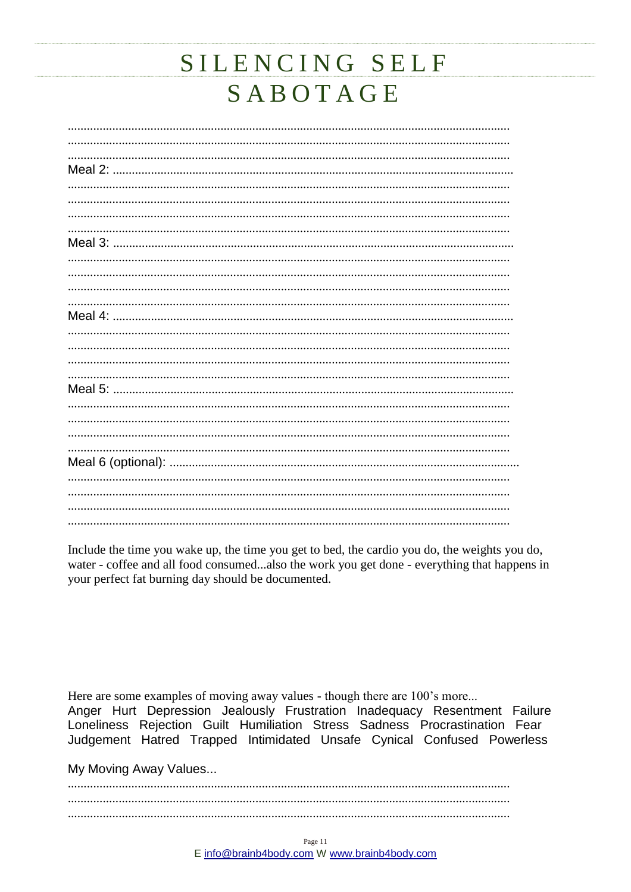Include the time you wake up, the time you get to bed, the cardio you do, the weights you do, water - coffee and all food consumed...also the work you get done - everything that happens in your perfect fat burning day should be documented.

Here are some examples of moving away values - though there are 100's more... Anger Hurt Depression Jealously Frustration Inadequacy Resentment Failure Loneliness Rejection Guilt Humiliation Stress Sadness Procrastination Fear Judgement Hatred Trapped Intimidated Unsafe Cynical Confused Powerless

My Moving Away Values...